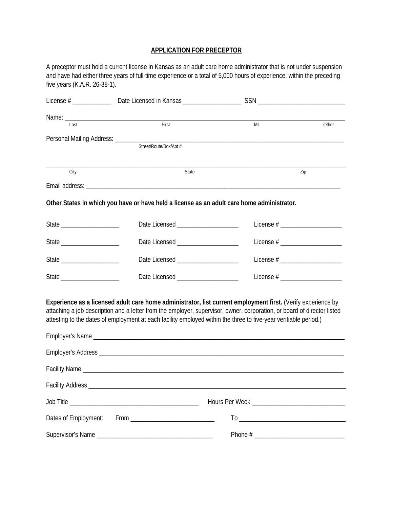## **APPLICATION FOR PRECEPTOR**

A preceptor must hold a current license in Kansas as an adult care home administrator that is not under suspension and have had either three years of full-time experience or a total of 5,000 hours of experience, within the preceding five years (K.A.R. 26-38-1).

| Last                 | First                               | M <sub>l</sub>                                                                                                                                                                                                                                                                                                                                              | Other                              |
|----------------------|-------------------------------------|-------------------------------------------------------------------------------------------------------------------------------------------------------------------------------------------------------------------------------------------------------------------------------------------------------------------------------------------------------------|------------------------------------|
|                      | Street/Route/Box/Apt #              |                                                                                                                                                                                                                                                                                                                                                             |                                    |
| City                 | State                               |                                                                                                                                                                                                                                                                                                                                                             | Zip                                |
|                      |                                     |                                                                                                                                                                                                                                                                                                                                                             |                                    |
|                      |                                     | Other States in which you have or have held a license as an adult care home administrator.                                                                                                                                                                                                                                                                  |                                    |
|                      | Date Licensed _____________________ |                                                                                                                                                                                                                                                                                                                                                             |                                    |
|                      | Date Licensed _____________________ |                                                                                                                                                                                                                                                                                                                                                             |                                    |
|                      | Date Licensed _____________________ |                                                                                                                                                                                                                                                                                                                                                             | License $#$ ______________________ |
|                      | Date Licensed ____________________  |                                                                                                                                                                                                                                                                                                                                                             | License $#$ _____________________  |
|                      |                                     | Experience as a licensed adult care home administrator, list current employment first. (Verify experience by<br>attaching a job description and a letter from the employer, supervisor, owner, corporation, or board of director listed<br>attesting to the dates of employment at each facility employed within the three to five-year verifiable period.) |                                    |
|                      |                                     |                                                                                                                                                                                                                                                                                                                                                             |                                    |
|                      |                                     |                                                                                                                                                                                                                                                                                                                                                             |                                    |
|                      |                                     |                                                                                                                                                                                                                                                                                                                                                             |                                    |
|                      |                                     |                                                                                                                                                                                                                                                                                                                                                             |                                    |
|                      |                                     |                                                                                                                                                                                                                                                                                                                                                             |                                    |
| Dates of Employment: |                                     |                                                                                                                                                                                                                                                                                                                                                             |                                    |
| Supervisor's Name_   |                                     |                                                                                                                                                                                                                                                                                                                                                             |                                    |